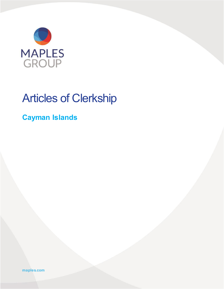

# Articles of Clerkship

### **Cayman Islands**

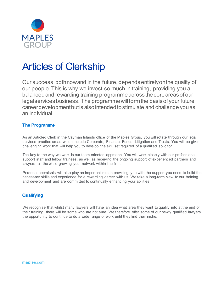

## Articles of Clerkship

Our success,bothnowand in the future, dependsentirelyonthe quality of our people. This is why we invest so much in training, providing you a balanced and rewarding training programme across the core areas of our legalservicesbusiness. The programmewillformthe basisof your future careerdevelopmentbutis alsointendedtostimulate and challenge youas an individual.

#### **The Programme**

As an Articled Clerk in the Cayman Islands office of the Maples Group, you will rotate through our legal services practice areas which include Corporate, Finance, Funds, Litigation and Trusts. You will be given challenging work that will help you to develop the skill set required of a qualified solicitor.

The key to the way we work is our team-oriented approach. You will work closely with our professional support staff and fellow trainees, as well as receiving the ongoing support of experienced partners and lawyers, all the while growing your network within the firm.

Personal appraisals will also play an important role in providing you with the support you need to build the necessary skills and experience for a rewarding career with us. We take a long-term view to our training and development and are committed to continually enhancing your abilities.

#### **Qualifying**

We recognise that whilst many lawyers will have an idea what area they want to qualify into at the end of their training, there will be some who are not sure. We therefore offer some of our newly qualified lawyers the opportunity to continue to do a wide range of work until they find their niche.